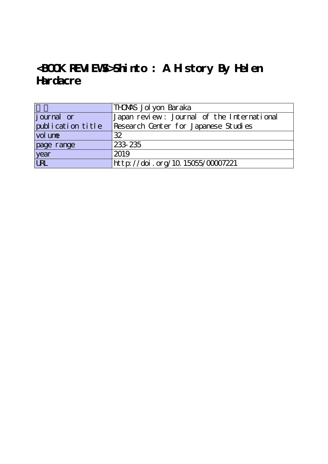# <**BOOK REVIEWS>Shinto:** A History By Helen **Hardacre**

|                   | THDAAS Jolyon Baraka                       |
|-------------------|--------------------------------------------|
| journal or        | Japan review: Journal of the International |
| publication title | Research Center for Japanese Studies       |
| vol une           | 32                                         |
| page range        | 233 235                                    |
| year<br>URL       | 2019                                       |
|                   | http://doi.org/10.15055/00007221           |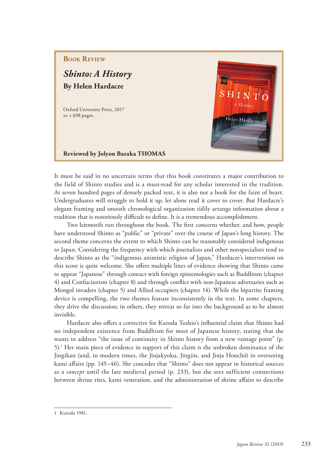## **BOOK REVIEW**

*Shinto: A History* **By Helen Hardacre**

Oxford University Press, 2017 xv + 698 pages.



### **Reviewed by Jolyon Baraka THOMAS**

It must be said in no uncertain terms that this book constitutes a major contribution to the field of Shinto studies and is a must-read for any scholar interested in the tradition. At seven hundred pages of densely packed text, it is also not a book for the faint of heart. Undergraduates will struggle to hold it up, let alone read it cover to cover. But Hardacre's elegant framing and smooth chronological organization tidily arrange information about a tradition that is notoriously difficult to define. It is a tremendous accomplishment.

Two leitmotifs run throughout the book. The first concerns whether, and how, people have understood Shinto as "public" or "private" over the course of Japan's long history. The second theme concerns the extent to which Shinto can be reasonably considered indigenous to Japan. Considering the frequency with which journalists and other nonspecialists tend to describe Shinto as the "indigenous animistic religion of Japan," Hardacre's intervention on this score is quite welcome. She offers multiple lines of evidence showing that Shinto came to appear "Japanese" through contact with foreign epistemologies such as Buddhism (chapter 4) and Confucianism (chapter 8) and through conflict with non-Japanese adversaries such as Mongol invaders (chapter 5) and Allied occupiers (chapter 14). While the bipartite framing device is compelling, the two themes feature inconsistently in the text. In some chapters, they drive the discussion; in others, they retreat so far into the background as to be almost invisible.

Hardacre also offers a corrective for Kuroda Toshio's influential claim that Shinto had no independent existence from Buddhism for most of Japanese history, stating that she wants to address "the issue of continuity in Shinto history from a new vantage point" (p. 5).1 Her main piece of evidence in support of this claim is the unbroken dominance of the Jingikan (and, in modern times, the Jinjakyoku, Jingiin, and Jinja Honchō) in overseeing kami affairs (pp. 145–46). She concedes that "Shinto" does not appear in historical sources as a *concept* until the late medieval period (p. 233), but she sees sufficient connections between shrine rites, kami veneration, and the administration of shrine affairs to describe

<sup>1</sup> Kuroda 1981.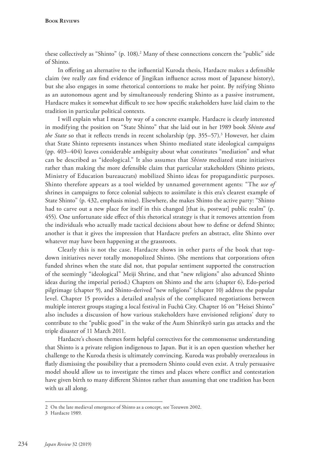**Book Reviews**

these collectively as "Shinto" (p. 108).<sup>2</sup> Many of these connections concern the "public" side of Shinto.

In offering an alternative to the influential Kuroda thesis, Hardacre makes a defensible claim (we really *can* find evidence of Jingikan influence across most of Japanese history), but she also engages in some rhetorical contortions to make her point. By reifying Shinto as an autonomous agent and by simultaneously rendering Shinto as a passive instrument, Hardacre makes it somewhat difficult to see how specific stakeholders have laid claim to the tradition in particular political contexts.

I will explain what I mean by way of a concrete example. Hardacre is clearly interested in modifying the position on "State Shinto" that she laid out in her 1989 book *Shinto and the State* so that it reflects trends in recent scholarship (pp. 355–57).3 However, her claim that State Shinto represents instances when Shinto mediated state ideological campaigns (pp. 403–404) leaves considerable ambiguity about what constitutes "mediation" and what can be described as "ideological." It also assumes that *Shinto* mediated state initiatives rather than making the more defensible claim that particular stakeholders (Shinto priests, Ministry of Education bureaucrats) mobilized Shinto ideas for propagandistic purposes. Shinto therefore appears as a tool wielded by unnamed government agents: "The *use of* shrines in campaigns to force colonial subjects to assimilate is this era's clearest example of State Shinto" (p. 432, emphasis mine). Elsewhere, she makes Shinto the active party: "Shinto had to carve out a new place for itself in this changed [that is, postwar] public realm" (p. 455). One unfortunate side effect of this rhetorical strategy is that it removes attention from the individuals who actually made tactical decisions about how to define or defend Shinto; another is that it gives the impression that Hardacre prefers an abstract, elite Shinto over whatever may have been happening at the grassroots.

Clearly this is not the case. Hardacre shows in other parts of the book that topdown initiatives never totally monopolized Shinto. (She mentions that corporations often funded shrines when the state did not, that popular sentiment supported the construction of the seemingly "ideological" Meiji Shrine, and that "new religions" also advanced Shinto ideas during the imperial period.) Chapters on Shinto and the arts (chapter 6), Edo-period pilgrimage (chapter 9), and Shinto-derived "new religions" (chapter 10) address the popular level. Chapter 15 provides a detailed analysis of the complicated negotiations between multiple interest groups staging a local festival in Fuchū City. Chapter 16 on "Heisei Shinto" also includes a discussion of how various stakeholders have envisioned religions' duty to contribute to the "public good" in the wake of the Aum Shinrikyō sarin gas attacks and the triple disaster of 11 March 2011.

Hardacre's chosen themes form helpful correctives for the commonsense understanding that Shinto is a private religion indigenous to Japan. But it is an open question whether her challenge to the Kuroda thesis is ultimately convincing. Kuroda was probably overzealous in flatly dismissing the possibility that a premodern Shinto could even exist. A truly persuasive model should allow us to investigate the times and places where conflict and contestation have given birth to many different Shintos rather than assuming that one tradition has been with us all along.

<sup>2</sup> On the late medieval emergence of Shinto as a concept, see Teeuwen 2002.

<sup>3</sup> Hardacre 1989.